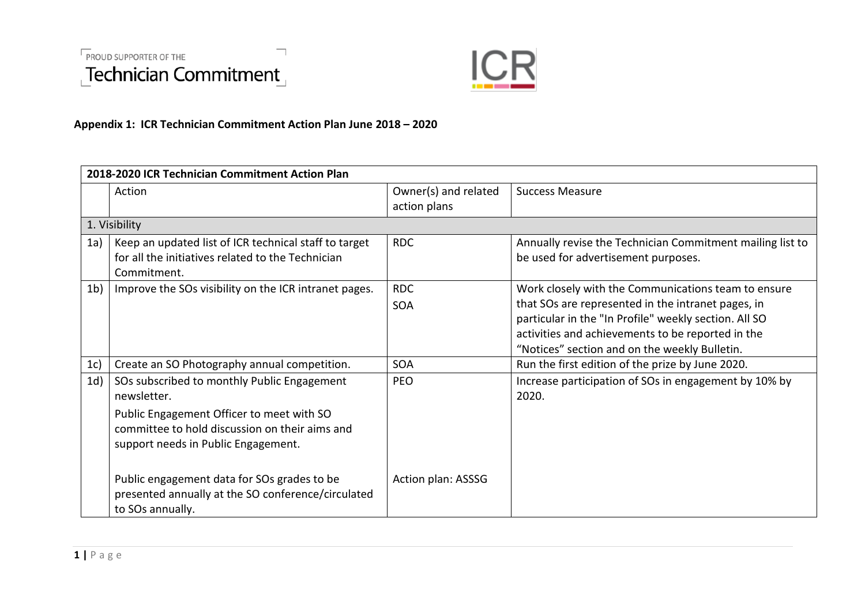



## **Appendix 1: ICR Technician Commitment Action Plan June 2018 – 2020**

| 2018-2020 ICR Technician Commitment Action Plan |                                                       |                      |                                                           |  |  |
|-------------------------------------------------|-------------------------------------------------------|----------------------|-----------------------------------------------------------|--|--|
|                                                 | Action                                                | Owner(s) and related | <b>Success Measure</b>                                    |  |  |
|                                                 |                                                       | action plans         |                                                           |  |  |
|                                                 | 1. Visibility                                         |                      |                                                           |  |  |
| 1a)                                             | Keep an updated list of ICR technical staff to target | <b>RDC</b>           | Annually revise the Technician Commitment mailing list to |  |  |
|                                                 | for all the initiatives related to the Technician     |                      | be used for advertisement purposes.                       |  |  |
|                                                 | Commitment.                                           |                      |                                                           |  |  |
| 1 <sub>b</sub>                                  | Improve the SOs visibility on the ICR intranet pages. | <b>RDC</b>           | Work closely with the Communications team to ensure       |  |  |
|                                                 |                                                       | SOA                  | that SOs are represented in the intranet pages, in        |  |  |
|                                                 |                                                       |                      | particular in the "In Profile" weekly section. All SO     |  |  |
|                                                 |                                                       |                      | activities and achievements to be reported in the         |  |  |
|                                                 |                                                       |                      | "Notices" section and on the weekly Bulletin.             |  |  |
| 1c)                                             | Create an SO Photography annual competition.          | <b>SOA</b>           | Run the first edition of the prize by June 2020.          |  |  |
| 1d)                                             | SOs subscribed to monthly Public Engagement           | PEO                  | Increase participation of SOs in engagement by 10% by     |  |  |
|                                                 | newsletter.                                           |                      | 2020.                                                     |  |  |
|                                                 | Public Engagement Officer to meet with SO             |                      |                                                           |  |  |
|                                                 | committee to hold discussion on their aims and        |                      |                                                           |  |  |
|                                                 | support needs in Public Engagement.                   |                      |                                                           |  |  |
|                                                 |                                                       |                      |                                                           |  |  |
|                                                 | Public engagement data for SOs grades to be           | Action plan: ASSSG   |                                                           |  |  |
|                                                 | presented annually at the SO conference/circulated    |                      |                                                           |  |  |
|                                                 | to SOs annually.                                      |                      |                                                           |  |  |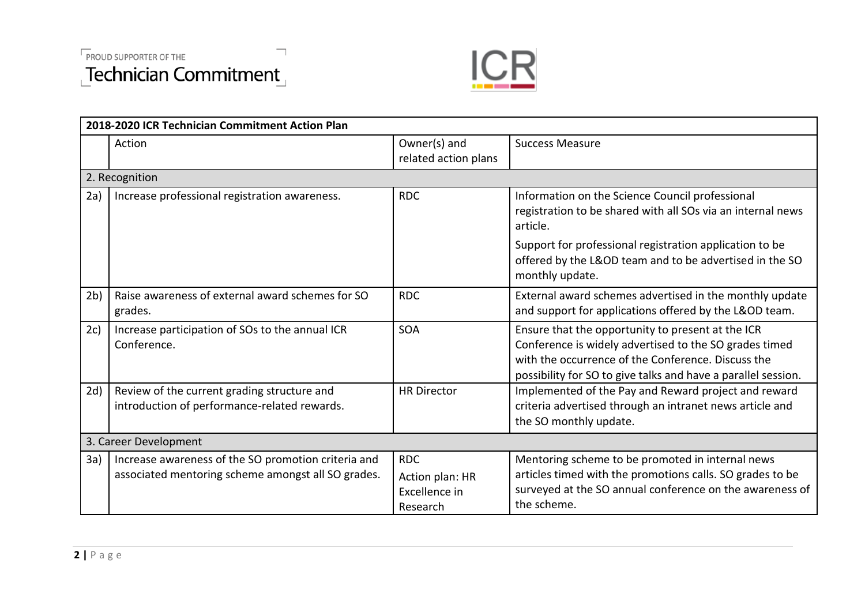



| 2018-2020 ICR Technician Commitment Action Plan |                                                                                                           |                                                            |                                                                                                                                                                                                                                    |  |  |
|-------------------------------------------------|-----------------------------------------------------------------------------------------------------------|------------------------------------------------------------|------------------------------------------------------------------------------------------------------------------------------------------------------------------------------------------------------------------------------------|--|--|
|                                                 | Action                                                                                                    | Owner(s) and<br>related action plans                       | <b>Success Measure</b>                                                                                                                                                                                                             |  |  |
| 2. Recognition                                  |                                                                                                           |                                                            |                                                                                                                                                                                                                                    |  |  |
| 2a)                                             | Increase professional registration awareness.                                                             | <b>RDC</b>                                                 | Information on the Science Council professional<br>registration to be shared with all SOs via an internal news<br>article.                                                                                                         |  |  |
|                                                 |                                                                                                           |                                                            | Support for professional registration application to be<br>offered by the L&OD team and to be advertised in the SO<br>monthly update.                                                                                              |  |  |
| 2 <sub>b</sub>                                  | Raise awareness of external award schemes for SO<br>grades.                                               | <b>RDC</b>                                                 | External award schemes advertised in the monthly update<br>and support for applications offered by the L&OD team.                                                                                                                  |  |  |
| 2c)                                             | Increase participation of SOs to the annual ICR<br>Conference.                                            | <b>SOA</b>                                                 | Ensure that the opportunity to present at the ICR<br>Conference is widely advertised to the SO grades timed<br>with the occurrence of the Conference. Discuss the<br>possibility for SO to give talks and have a parallel session. |  |  |
| 2d)                                             | Review of the current grading structure and<br>introduction of performance-related rewards.               | <b>HR Director</b>                                         | Implemented of the Pay and Reward project and reward<br>criteria advertised through an intranet news article and<br>the SO monthly update.                                                                                         |  |  |
| 3. Career Development                           |                                                                                                           |                                                            |                                                                                                                                                                                                                                    |  |  |
| 3a)                                             | Increase awareness of the SO promotion criteria and<br>associated mentoring scheme amongst all SO grades. | <b>RDC</b><br>Action plan: HR<br>Excellence in<br>Research | Mentoring scheme to be promoted in internal news<br>articles timed with the promotions calls. SO grades to be<br>surveyed at the SO annual conference on the awareness of<br>the scheme.                                           |  |  |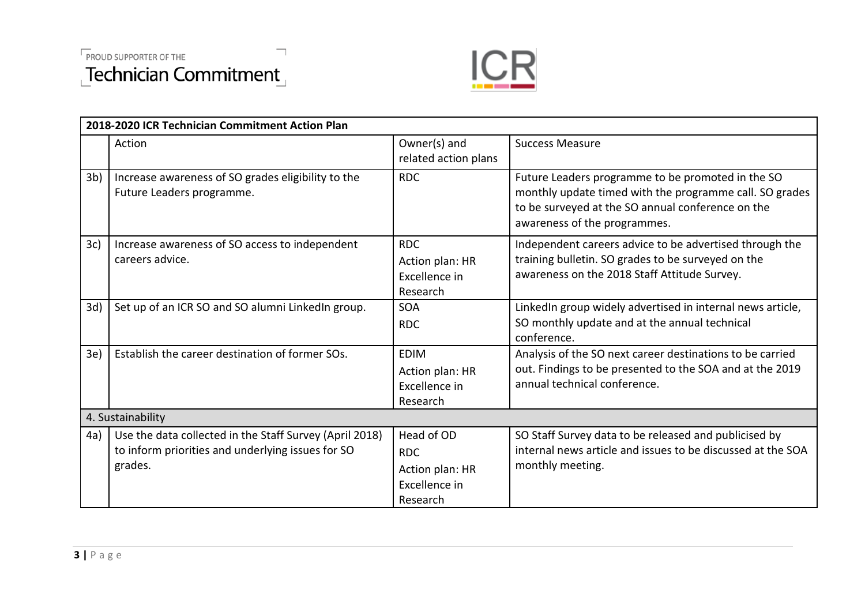



| 2018-2020 ICR Technician Commitment Action Plan |                                                                                                                         |                                                                          |                                                                                                                                                                                                   |  |  |
|-------------------------------------------------|-------------------------------------------------------------------------------------------------------------------------|--------------------------------------------------------------------------|---------------------------------------------------------------------------------------------------------------------------------------------------------------------------------------------------|--|--|
|                                                 | Action                                                                                                                  | Owner(s) and<br>related action plans                                     | <b>Success Measure</b>                                                                                                                                                                            |  |  |
| 3 <sub>b</sub>                                  | Increase awareness of SO grades eligibility to the<br>Future Leaders programme.                                         | <b>RDC</b>                                                               | Future Leaders programme to be promoted in the SO<br>monthly update timed with the programme call. SO grades<br>to be surveyed at the SO annual conference on the<br>awareness of the programmes. |  |  |
| 3c)                                             | Increase awareness of SO access to independent<br>careers advice.                                                       | <b>RDC</b><br>Action plan: HR<br>Excellence in<br>Research               | Independent careers advice to be advertised through the<br>training bulletin. SO grades to be surveyed on the<br>awareness on the 2018 Staff Attitude Survey.                                     |  |  |
| 3d)                                             | Set up of an ICR SO and SO alumni LinkedIn group.                                                                       | <b>SOA</b><br><b>RDC</b>                                                 | LinkedIn group widely advertised in internal news article,<br>SO monthly update and at the annual technical<br>conference.                                                                        |  |  |
| 3e)                                             | Establish the career destination of former SOs.                                                                         | <b>EDIM</b><br>Action plan: HR<br>Excellence in<br>Research              | Analysis of the SO next career destinations to be carried<br>out. Findings to be presented to the SOA and at the 2019<br>annual technical conference.                                             |  |  |
| 4. Sustainability                               |                                                                                                                         |                                                                          |                                                                                                                                                                                                   |  |  |
| 4a)                                             | Use the data collected in the Staff Survey (April 2018)<br>to inform priorities and underlying issues for SO<br>grades. | Head of OD<br><b>RDC</b><br>Action plan: HR<br>Excellence in<br>Research | SO Staff Survey data to be released and publicised by<br>internal news article and issues to be discussed at the SOA<br>monthly meeting.                                                          |  |  |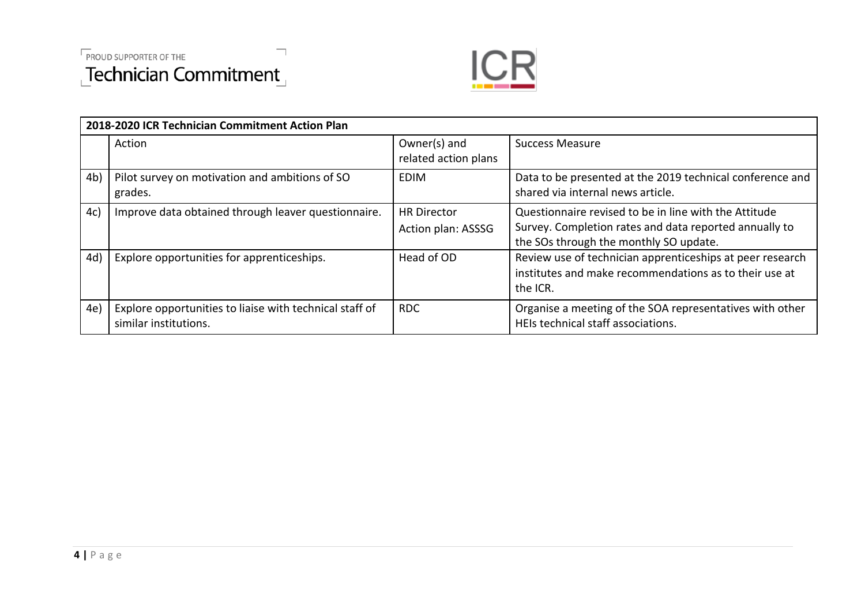



| 2018-2020 ICR Technician Commitment Action Plan |                                                                                  |                                          |                                                                                                                                                           |  |  |  |
|-------------------------------------------------|----------------------------------------------------------------------------------|------------------------------------------|-----------------------------------------------------------------------------------------------------------------------------------------------------------|--|--|--|
|                                                 | Action                                                                           | Owner(s) and<br>related action plans     | <b>Success Measure</b>                                                                                                                                    |  |  |  |
| 4 <sub>b</sub>                                  | Pilot survey on motivation and ambitions of SO<br>grades.                        | EDIM                                     | Data to be presented at the 2019 technical conference and<br>shared via internal news article.                                                            |  |  |  |
| 4c)                                             | Improve data obtained through leaver questionnaire.                              | <b>HR Director</b><br>Action plan: ASSSG | Questionnaire revised to be in line with the Attitude<br>Survey. Completion rates and data reported annually to<br>the SOs through the monthly SO update. |  |  |  |
| 4d)                                             | Explore opportunities for apprenticeships.                                       | Head of OD                               | Review use of technician apprenticeships at peer research<br>institutes and make recommendations as to their use at<br>the ICR.                           |  |  |  |
| 4e)                                             | Explore opportunities to liaise with technical staff of<br>similar institutions. | <b>RDC</b>                               | Organise a meeting of the SOA representatives with other<br>HEIs technical staff associations.                                                            |  |  |  |